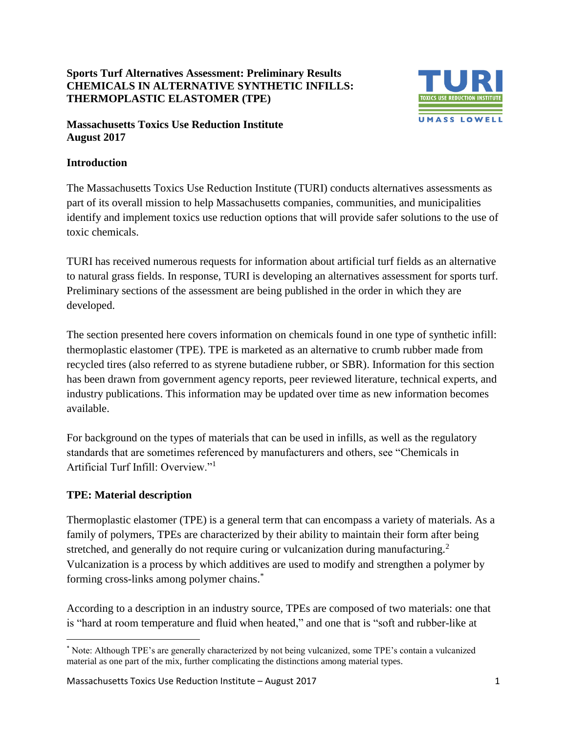## **Sports Turf Alternatives Assessment: Preliminary Results CHEMICALS IN ALTERNATIVE SYNTHETIC INFILLS: THERMOPLASTIC ELASTOMER (TPE)**



#### **Massachusetts Toxics Use Reduction Institute August 2017**

## **Introduction**

The Massachusetts Toxics Use Reduction Institute (TURI) conducts alternatives assessments as part of its overall mission to help Massachusetts companies, communities, and municipalities identify and implement toxics use reduction options that will provide safer solutions to the use of toxic chemicals.

TURI has received numerous requests for information about artificial turf fields as an alternative to natural grass fields. In response, TURI is developing an alternatives assessment for sports turf. Preliminary sections of the assessment are being published in the order in which they are developed.

The section presented here covers information on chemicals found in one type of synthetic infill: thermoplastic elastomer (TPE). TPE is marketed as an alternative to crumb rubber made from recycled tires (also referred to as styrene butadiene rubber, or SBR). Information for this section has been drawn from government agency reports, peer reviewed literature, technical experts, and industry publications. This information may be updated over time as new information becomes available.

For background on the types of materials that can be used in infills, as well as the regulatory standards that are sometimes referenced by manufacturers and others, see "Chemicals in Artificial Turf Infill: Overview."<sup>1</sup>

#### **TPE: Material description**

l

Thermoplastic elastomer (TPE) is a general term that can encompass a variety of materials. As a family of polymers, TPEs are characterized by their ability to maintain their form after being stretched, and generally do not require curing or vulcanization during manufacturing.<sup>2</sup> Vulcanization is a process by which additives are used to modify and strengthen a polymer by forming cross-links among polymer chains.<sup>\*</sup>

According to a description in an industry source*,* TPEs are composed of two materials: one that is "hard at room temperature and fluid when heated," and one that is "soft and rubber-like at

<sup>\*</sup> Note: Although TPE's are generally characterized by not being vulcanized, some TPE's contain a vulcanized material as one part of the mix, further complicating the distinctions among material types.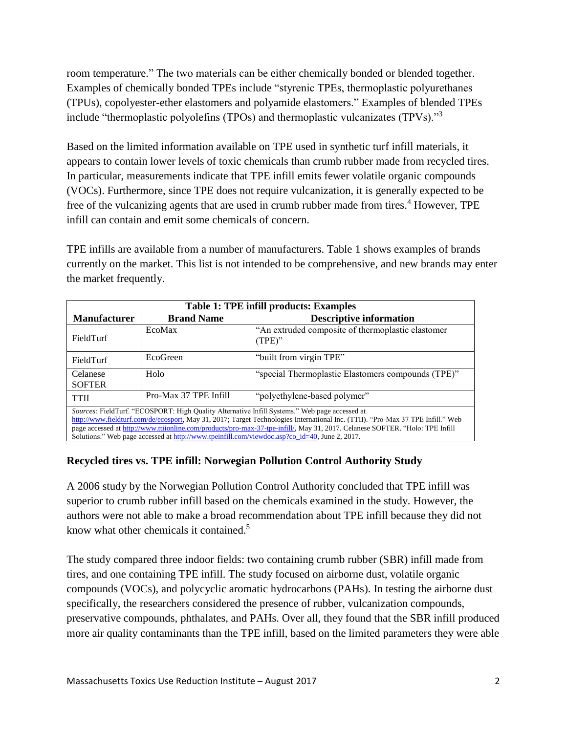room temperature." The two materials can be either chemically bonded or blended together. Examples of chemically bonded TPEs include "styrenic TPEs, thermoplastic polyurethanes (TPUs), copolyester-ether elastomers and polyamide elastomers." Examples of blended TPEs include "thermoplastic polyolefins (TPOs) and thermoplastic vulcanizates (TPVs)."<sup>3</sup>

Based on the limited information available on TPE used in synthetic turf infill materials, it appears to contain lower levels of toxic chemicals than crumb rubber made from recycled tires. In particular, measurements indicate that TPE infill emits fewer volatile organic compounds (VOCs). Furthermore, since TPE does not require vulcanization, it is generally expected to be free of the vulcanizing agents that are used in crumb rubber made from tires.<sup>4</sup> However, TPE infill can contain and emit some chemicals of concern.

TPE infills are available from a number of manufacturers. Table 1 shows examples of brands currently on the market. This list is not intended to be comprehensive, and new brands may enter the market frequently.

| <b>Table 1: TPE infill products: Examples</b>                                                                                                                                                                                                                                                                                                                                                                                                                     |                       |                                                                |  |  |
|-------------------------------------------------------------------------------------------------------------------------------------------------------------------------------------------------------------------------------------------------------------------------------------------------------------------------------------------------------------------------------------------------------------------------------------------------------------------|-----------------------|----------------------------------------------------------------|--|--|
| <b>Manufacturer</b>                                                                                                                                                                                                                                                                                                                                                                                                                                               | <b>Brand Name</b>     | <b>Descriptive information</b>                                 |  |  |
| FieldTurf                                                                                                                                                                                                                                                                                                                                                                                                                                                         | EcoMax                | "An extruded composite of thermoplastic elastomer<br>$(TPE)$ " |  |  |
| FieldTurf                                                                                                                                                                                                                                                                                                                                                                                                                                                         | EcoGreen              | "built from virgin TPE"                                        |  |  |
| Celanese<br><b>SOFTER</b>                                                                                                                                                                                                                                                                                                                                                                                                                                         | Holo                  | "special Thermoplastic Elastomers compounds (TPE)"             |  |  |
| <b>TTII</b>                                                                                                                                                                                                                                                                                                                                                                                                                                                       | Pro-Max 37 TPE Infill | "polyethylene-based polymer"                                   |  |  |
| Sources: FieldTurf. "ECOSPORT: High Quality Alternative Infill Systems." Web page accessed at<br>http://www.fieldturf.com/de/ecosport, May 31, 2017; Target Technologies International Inc. (TTII). "Pro-Max 37 TPE Infill." Web<br>page accessed at http://www.ttiionline.com/products/pro-max-37-tpe-infill/, May 31, 2017. Celanese SOFTER. "Holo: TPE Infill<br>Solutions." Web page accessed at http://www.tpeinfill.com/viewdoc.asp?co_id=40, June 2, 2017. |                       |                                                                |  |  |

#### **Recycled tires vs. TPE infill: Norwegian Pollution Control Authority Study**

A 2006 study by the Norwegian Pollution Control Authority concluded that TPE infill was superior to crumb rubber infill based on the chemicals examined in the study. However, the authors were not able to make a broad recommendation about TPE infill because they did not know what other chemicals it contained.<sup>5</sup>

The study compared three indoor fields: two containing crumb rubber (SBR) infill made from tires, and one containing TPE infill. The study focused on airborne dust, volatile organic compounds (VOCs), and polycyclic aromatic hydrocarbons (PAHs). In testing the airborne dust specifically, the researchers considered the presence of rubber, vulcanization compounds, preservative compounds, phthalates, and PAHs. Over all, they found that the SBR infill produced more air quality contaminants than the TPE infill, based on the limited parameters they were able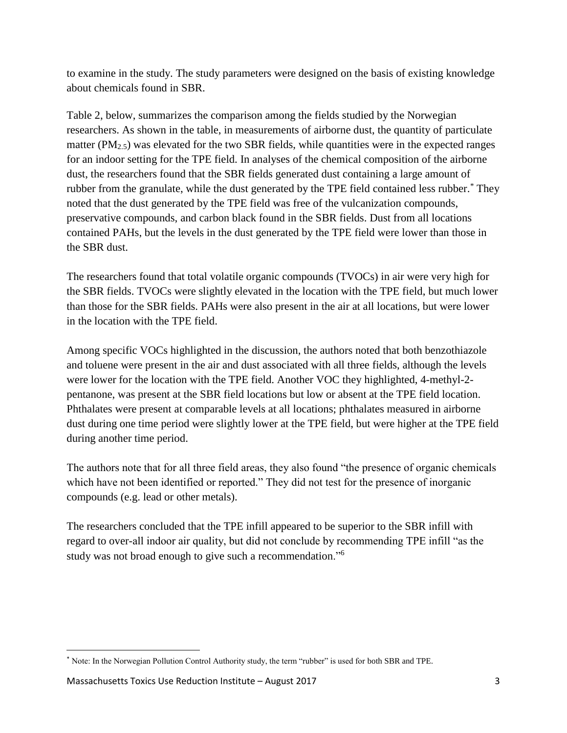to examine in the study. The study parameters were designed on the basis of existing knowledge about chemicals found in SBR.

Table 2, below, summarizes the comparison among the fields studied by the Norwegian researchers. As shown in the table, in measurements of airborne dust, the quantity of particulate matter ( $PM_{2.5}$ ) was elevated for the two SBR fields, while quantities were in the expected ranges for an indoor setting for the TPE field. In analyses of the chemical composition of the airborne dust, the researchers found that the SBR fields generated dust containing a large amount of rubber from the granulate, while the dust generated by the TPE field contained less rubber.\* They noted that the dust generated by the TPE field was free of the vulcanization compounds, preservative compounds, and carbon black found in the SBR fields. Dust from all locations contained PAHs, but the levels in the dust generated by the TPE field were lower than those in the SBR dust.

The researchers found that total volatile organic compounds (TVOCs) in air were very high for the SBR fields. TVOCs were slightly elevated in the location with the TPE field, but much lower than those for the SBR fields. PAHs were also present in the air at all locations, but were lower in the location with the TPE field.

Among specific VOCs highlighted in the discussion, the authors noted that both benzothiazole and toluene were present in the air and dust associated with all three fields, although the levels were lower for the location with the TPE field. Another VOC they highlighted, 4-methyl-2 pentanone, was present at the SBR field locations but low or absent at the TPE field location. Phthalates were present at comparable levels at all locations; phthalates measured in airborne dust during one time period were slightly lower at the TPE field, but were higher at the TPE field during another time period.

The authors note that for all three field areas, they also found "the presence of organic chemicals which have not been identified or reported." They did not test for the presence of inorganic compounds (e.g. lead or other metals).

The researchers concluded that the TPE infill appeared to be superior to the SBR infill with regard to over-all indoor air quality, but did not conclude by recommending TPE infill "as the study was not broad enough to give such a recommendation."<sup>6</sup>

 $\overline{\phantom{a}}$ 

<sup>\*</sup> Note: In the Norwegian Pollution Control Authority study, the term "rubber" is used for both SBR and TPE.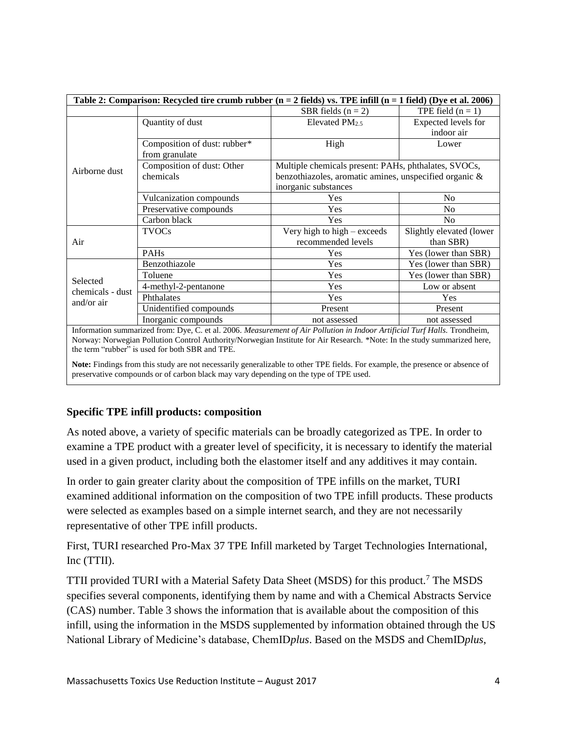| Table 2: Comparison: Recycled tire crumb rubber $(n = 2$ fields) vs. TPE infill $(n = 1$ field) (Dye et al. 2006) |                              |                                                        |                          |  |
|-------------------------------------------------------------------------------------------------------------------|------------------------------|--------------------------------------------------------|--------------------------|--|
|                                                                                                                   |                              | SBR fields $(n = 2)$                                   | TPE field $(n = 1)$      |  |
| Airborne dust                                                                                                     | Quantity of dust             | Elevated $PM25$                                        | Expected levels for      |  |
|                                                                                                                   |                              |                                                        | indoor air               |  |
|                                                                                                                   | Composition of dust: rubber* | High                                                   | Lower                    |  |
|                                                                                                                   | from granulate               |                                                        |                          |  |
|                                                                                                                   | Composition of dust: Other   | Multiple chemicals present: PAHs, phthalates, SVOCs,   |                          |  |
|                                                                                                                   | chemicals                    | benzothiazoles, aromatic amines, unspecified organic & |                          |  |
|                                                                                                                   |                              | inorganic substances                                   |                          |  |
|                                                                                                                   | Vulcanization compounds      | Yes                                                    | No                       |  |
|                                                                                                                   | Preservative compounds       | Yes                                                    | N <sub>0</sub>           |  |
|                                                                                                                   | Carbon black                 | Yes                                                    | N <sub>0</sub>           |  |
| Air                                                                                                               | <b>TVOCs</b>                 | Very high to high $-$ exceeds                          | Slightly elevated (lower |  |
|                                                                                                                   |                              | recommended levels                                     | than SBR)                |  |
|                                                                                                                   | PAHs                         | Yes                                                    | Yes (lower than SBR)     |  |
| Selected<br>chemicals - dust<br>and/or air                                                                        | Benzothiazole                | Yes                                                    | Yes (lower than SBR)     |  |
|                                                                                                                   | Toluene                      | Yes                                                    | Yes (lower than SBR)     |  |
|                                                                                                                   | 4-methyl-2-pentanone         | Yes                                                    | Low or absent            |  |
|                                                                                                                   | Phthalates                   | Yes                                                    | <b>Yes</b>               |  |
|                                                                                                                   | Unidentified compounds       | Present                                                | Present                  |  |
|                                                                                                                   | Inorganic compounds          | not assessed                                           | not assessed             |  |

Information summarized from: Dye, C. et al. 2006. *Measurement of Air Pollution in Indoor Artificial Turf Halls.* Trondheim, Norway: Norwegian Pollution Control Authority/Norwegian Institute for Air Research. \*Note: In the study summarized here, the term "rubber" is used for both SBR and TPE.

**Note:** Findings from this study are not necessarily generalizable to other TPE fields. For example, the presence or absence of preservative compounds or of carbon black may vary depending on the type of TPE used.

#### **Specific TPE infill products: composition**

As noted above, a variety of specific materials can be broadly categorized as TPE. In order to examine a TPE product with a greater level of specificity, it is necessary to identify the material used in a given product, including both the elastomer itself and any additives it may contain.

In order to gain greater clarity about the composition of TPE infills on the market, TURI examined additional information on the composition of two TPE infill products. These products were selected as examples based on a simple internet search, and they are not necessarily representative of other TPE infill products.

First, TURI researched Pro-Max 37 TPE Infill marketed by Target Technologies International, Inc (TTII).

TTII provided TURI with a Material Safety Data Sheet (MSDS) for this product.<sup>7</sup> The MSDS specifies several components, identifying them by name and with a Chemical Abstracts Service (CAS) number. Table 3 shows the information that is available about the composition of this infill, using the information in the MSDS supplemented by information obtained through the US National Library of Medicine's database, ChemID*plus*. Based on the MSDS and ChemID*plus*,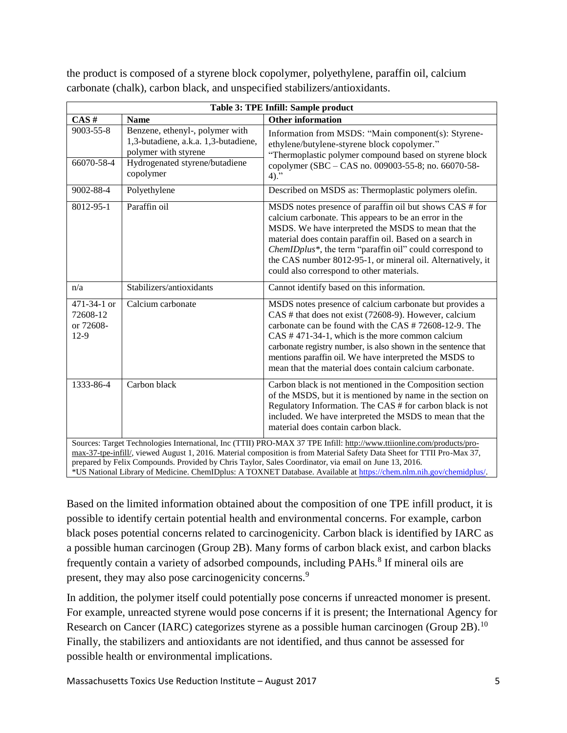the product is composed of a styrene block copolymer, polyethylene, paraffin oil, calcium carbonate (chalk), carbon black, and unspecified stabilizers/antioxidants.

| Table 3: TPE Infill: Sample product                                                                                                                                                                                                                                                                                                                       |                                                                                                                                                |                                                                                                                                                                                                                                                                                                                                                                                                                       |  |
|-----------------------------------------------------------------------------------------------------------------------------------------------------------------------------------------------------------------------------------------------------------------------------------------------------------------------------------------------------------|------------------------------------------------------------------------------------------------------------------------------------------------|-----------------------------------------------------------------------------------------------------------------------------------------------------------------------------------------------------------------------------------------------------------------------------------------------------------------------------------------------------------------------------------------------------------------------|--|
| CAS#                                                                                                                                                                                                                                                                                                                                                      | <b>Name</b>                                                                                                                                    | <b>Other information</b>                                                                                                                                                                                                                                                                                                                                                                                              |  |
| $9003 - 55 - 8$<br>66070-58-4                                                                                                                                                                                                                                                                                                                             | Benzene, ethenyl-, polymer with<br>1,3-butadiene, a.k.a. 1,3-butadiene,<br>polymer with styrene<br>Hydrogenated styrene/butadiene<br>copolymer | Information from MSDS: "Main component(s): Styrene-<br>ethylene/butylene-styrene block copolymer."<br>"Thermoplastic polymer compound based on styrene block<br>copolymer (SBC – CAS no. 009003-55-8; no. 66070-58-<br>$4)$ ."                                                                                                                                                                                        |  |
| 9002-88-4                                                                                                                                                                                                                                                                                                                                                 | Polyethylene                                                                                                                                   | Described on MSDS as: Thermoplastic polymers olefin.                                                                                                                                                                                                                                                                                                                                                                  |  |
| 8012-95-1                                                                                                                                                                                                                                                                                                                                                 | Paraffin oil                                                                                                                                   | MSDS notes presence of paraffin oil but shows CAS # for<br>calcium carbonate. This appears to be an error in the<br>MSDS. We have interpreted the MSDS to mean that the<br>material does contain paraffin oil. Based on a search in<br>ChemIDplus*, the term "paraffin oil" could correspond to<br>the CAS number 8012-95-1, or mineral oil. Alternatively, it<br>could also correspond to other materials.           |  |
| n/a                                                                                                                                                                                                                                                                                                                                                       | Stabilizers/antioxidants                                                                                                                       | Cannot identify based on this information.                                                                                                                                                                                                                                                                                                                                                                            |  |
| 471-34-1 or<br>72608-12<br>or 72608-<br>$12-9$                                                                                                                                                                                                                                                                                                            | Calcium carbonate                                                                                                                              | MSDS notes presence of calcium carbonate but provides a<br>CAS # that does not exist (72608-9). However, calcium<br>carbonate can be found with the CAS # 72608-12-9. The<br>$CAS # 471-34-1$ , which is the more common calcium<br>carbonate registry number, is also shown in the sentence that<br>mentions paraffin oil. We have interpreted the MSDS to<br>mean that the material does contain calcium carbonate. |  |
| 1333-86-4                                                                                                                                                                                                                                                                                                                                                 | Carbon black                                                                                                                                   | Carbon black is not mentioned in the Composition section<br>of the MSDS, but it is mentioned by name in the section on<br>Regulatory Information. The CAS # for carbon black is not<br>included. We have interpreted the MSDS to mean that the<br>material does contain carbon black.                                                                                                                                 |  |
| Sources: Target Technologies International, Inc (TTII) PRO-MAX 37 TPE Infill: http://www.ttiionline.com/products/pro-<br>max-37-tpe-infill/, viewed August 1, 2016. Material composition is from Material Safety Data Sheet for TTII Pro-Max 37,<br>prepared by Felix Compounds. Provided by Chris Taylor, Sales Coordinator, via email on June 13, 2016. |                                                                                                                                                |                                                                                                                                                                                                                                                                                                                                                                                                                       |  |

\*US National Library of Medicine. ChemIDplus: A TOXNET Database. Available at [https://chem.nlm.nih.gov/chemidplus/.](https://chem.nlm.nih.gov/chemidplus/)

Based on the limited information obtained about the composition of one TPE infill product, it is possible to identify certain potential health and environmental concerns. For example, carbon black poses potential concerns related to carcinogenicity. Carbon black is identified by IARC as a possible human carcinogen (Group 2B). Many forms of carbon black exist, and carbon blacks frequently contain a variety of adsorbed compounds, including PAHs.<sup>8</sup> If mineral oils are present, they may also pose carcinogenicity concerns.<sup>9</sup>

In addition, the polymer itself could potentially pose concerns if unreacted monomer is present. For example, unreacted styrene would pose concerns if it is present; the International Agency for Research on Cancer (IARC) categorizes styrene as a possible human carcinogen (Group 2B).<sup>10</sup> Finally, the stabilizers and antioxidants are not identified, and thus cannot be assessed for possible health or environmental implications.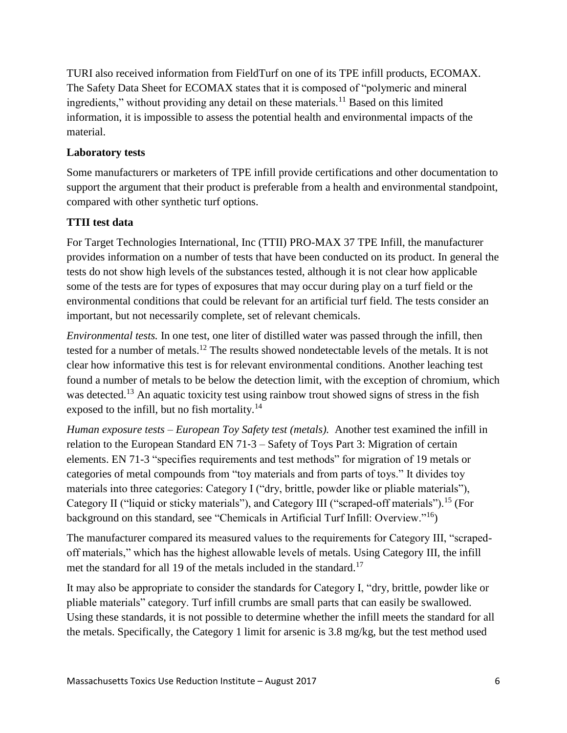TURI also received information from FieldTurf on one of its TPE infill products, ECOMAX. The Safety Data Sheet for ECOMAX states that it is composed of "polymeric and mineral ingredients," without providing any detail on these materials.<sup>11</sup> Based on this limited information, it is impossible to assess the potential health and environmental impacts of the material.

#### **Laboratory tests**

Some manufacturers or marketers of TPE infill provide certifications and other documentation to support the argument that their product is preferable from a health and environmental standpoint, compared with other synthetic turf options.

## **TTII test data**

For Target Technologies International, Inc (TTII) PRO-MAX 37 TPE Infill, the manufacturer provides information on a number of tests that have been conducted on its product. In general the tests do not show high levels of the substances tested, although it is not clear how applicable some of the tests are for types of exposures that may occur during play on a turf field or the environmental conditions that could be relevant for an artificial turf field. The tests consider an important, but not necessarily complete, set of relevant chemicals.

*Environmental tests.* In one test, one liter of distilled water was passed through the infill, then tested for a number of metals. <sup>12</sup> The results showed nondetectable levels of the metals. It is not clear how informative this test is for relevant environmental conditions. Another leaching test found a number of metals to be below the detection limit, with the exception of chromium, which was detected.<sup>13</sup> An aquatic toxicity test using rainbow trout showed signs of stress in the fish exposed to the infill, but no fish mortality.<sup>14</sup>

*Human exposure tests – European Toy Safety test (metals).* Another test examined the infill in relation to the European Standard EN 71‐3 – Safety of Toys Part 3: Migration of certain elements. EN 71-3 "specifies requirements and test methods" for migration of 19 metals or categories of metal compounds from "toy materials and from parts of toys." It divides toy materials into three categories: Category I ("dry, brittle, powder like or pliable materials"), Category II ("liquid or sticky materials"), and Category III ("scraped-off materials").<sup>15</sup> (For background on this standard, see "Chemicals in Artificial Turf Infill: Overview."<sup>16</sup>)

The manufacturer compared its measured values to the requirements for Category III, "scrapedoff materials," which has the highest allowable levels of metals. Using Category III, the infill met the standard for all 19 of the metals included in the standard.<sup>17</sup>

It may also be appropriate to consider the standards for Category I, "dry, brittle, powder like or pliable materials" category. Turf infill crumbs are small parts that can easily be swallowed. Using these standards, it is not possible to determine whether the infill meets the standard for all the metals. Specifically, the Category 1 limit for arsenic is 3.8 mg/kg, but the test method used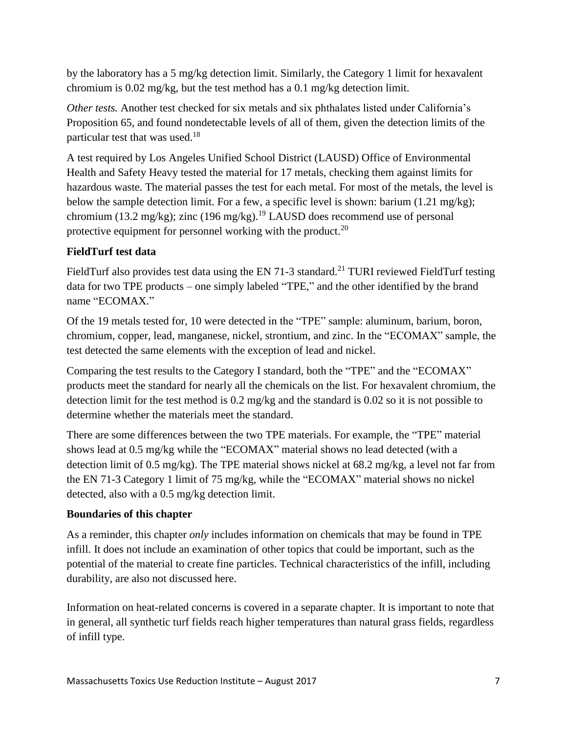by the laboratory has a 5 mg/kg detection limit. Similarly, the Category 1 limit for hexavalent chromium is 0.02 mg/kg, but the test method has a 0.1 mg/kg detection limit.

*Other tests.* Another test checked for six metals and six phthalates listed under California's Proposition 65, and found nondetectable levels of all of them, given the detection limits of the particular test that was used.<sup>18</sup>

A test required by Los Angeles Unified School District (LAUSD) Office of Environmental Health and Safety Heavy tested the material for 17 metals, checking them against limits for hazardous waste. The material passes the test for each metal. For most of the metals, the level is below the sample detection limit. For a few, a specific level is shown: barium  $(1.21 \text{ mg/kg})$ ; chromium (13.2 mg/kg); zinc (196 mg/kg).<sup>19</sup> LAUSD does recommend use of personal protective equipment for personnel working with the product.<sup>20</sup>

# **FieldTurf test data**

FieldTurf also provides test data using the EN 71-3 standard.<sup>21</sup> TURI reviewed FieldTurf testing data for two TPE products – one simply labeled "TPE," and the other identified by the brand name "ECOMAX."

Of the 19 metals tested for, 10 were detected in the "TPE" sample: aluminum, barium, boron, chromium, copper, lead, manganese, nickel, strontium, and zinc. In the "ECOMAX" sample, the test detected the same elements with the exception of lead and nickel.

Comparing the test results to the Category I standard, both the "TPE" and the "ECOMAX" products meet the standard for nearly all the chemicals on the list. For hexavalent chromium, the detection limit for the test method is 0.2 mg/kg and the standard is 0.02 so it is not possible to determine whether the materials meet the standard.

There are some differences between the two TPE materials. For example, the "TPE" material shows lead at 0.5 mg/kg while the "ECOMAX" material shows no lead detected (with a detection limit of 0.5 mg/kg). The TPE material shows nickel at  $68.2$  mg/kg, a level not far from the EN 71-3 Category 1 limit of 75 mg/kg, while the "ECOMAX" material shows no nickel detected, also with a 0.5 mg/kg detection limit.

## **Boundaries of this chapter**

As a reminder, this chapter *only* includes information on chemicals that may be found in TPE infill. It does not include an examination of other topics that could be important, such as the potential of the material to create fine particles. Technical characteristics of the infill, including durability, are also not discussed here.

Information on heat-related concerns is covered in a separate chapter. It is important to note that in general, all synthetic turf fields reach higher temperatures than natural grass fields, regardless of infill type.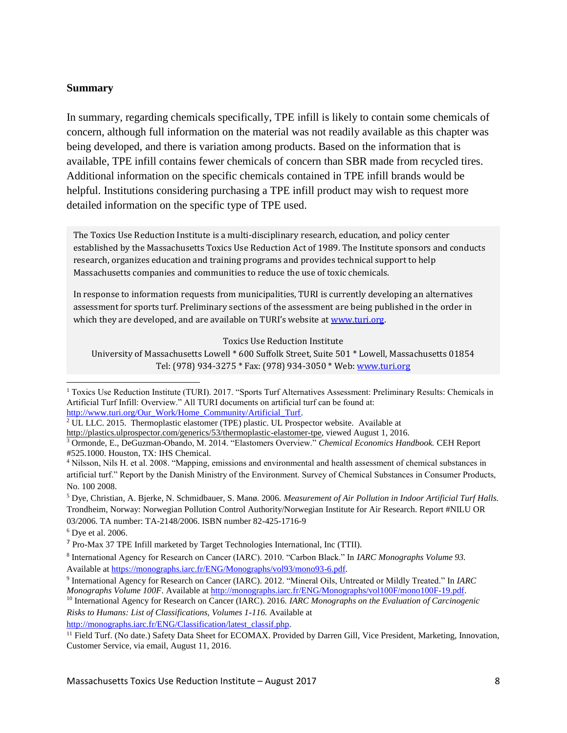#### **Summary**

In summary, regarding chemicals specifically, TPE infill is likely to contain some chemicals of concern, although full information on the material was not readily available as this chapter was being developed, and there is variation among products. Based on the information that is available, TPE infill contains fewer chemicals of concern than SBR made from recycled tires. Additional information on the specific chemicals contained in TPE infill brands would be helpful. Institutions considering purchasing a TPE infill product may wish to request more detailed information on the specific type of TPE used.

The Toxics Use Reduction Institute is a multi-disciplinary research, education, and policy center established by the Massachusetts Toxics Use Reduction Act of 1989. The Institute sponsors and conducts research, organizes education and training programs and provides technical support to help Massachusetts companies and communities to reduce the use of toxic chemicals.

In response to information requests from municipalities, TURI is currently developing an alternatives assessment for sports turf. Preliminary sections of the assessment are being published in the order in which they are developed, and are available on TURI's website at [www.turi.org.](http://www.turi.org/)

Toxics Use Reduction Institute

University of Massachusetts Lowell \* 600 Suffolk Street, Suite 501 \* Lowell, Massachusetts 01854 Tel: (978) 934-3275 \* Fax: (978) 934-3050 \* Web: [www.turi.org](http://www.turi.org/)

l

<sup>10</sup> International Agency for Research on Cancer (IARC). 2016. *IARC Monographs on the Evaluation of Carcinogenic Risks to Humans: List of Classifications, Volumes 1-116.* Available at

[http://monographs.iarc.fr/ENG/Classification/latest\\_classif.php.](http://monographs.iarc.fr/ENG/Classification/latest_classif.php)

<sup>&</sup>lt;sup>1</sup> Toxics Use Reduction Institute (TURI). 2017. "Sports Turf Alternatives Assessment: Preliminary Results: Chemicals in Artificial Turf Infill: Overview." All TURI documents on artificial turf can be found at: [http://www.turi.org/Our\\_Work/Home\\_Community/Artificial\\_Turf.](http://www.turi.org/Our_Work/Home_Community/Artificial_Turf)

<sup>2</sup> UL LLC. 2015. Thermoplastic elastomer (TPE) plastic. UL Prospector website.Available at

[http://plastics.ulprospector.com/generics/53/thermoplastic-elastomer-tpe,](http://plastics.ulprospector.com/generics/53/thermoplastic-elastomer-tpe) viewed August 1, 2016.

<sup>3</sup> Ormonde, E., DeGuzman-Obando, M. 2014. "Elastomers Overview." *Chemical Economics Handbook.* CEH Report #525.1000. Houston, TX: IHS Chemical.

<sup>4</sup> Nilsson, Nils H. et al. 2008. "Mapping, emissions and environmental and health assessment of chemical substances in artificial turf." Report by the Danish Ministry of the Environment. Survey of Chemical Substances in Consumer Products, No. 100 2008.

<sup>5</sup> Dye, Christian, A. Bjerke, N. Schmidbauer, S. Manø. 2006. *Measurement of Air Pollution in Indoor Artificial Turf Halls.*  Trondheim, Norway: Norwegian Pollution Control Authority/Norwegian Institute for Air Research. Report #NILU OR 03/2006. TA number: TA-2148/2006. ISBN number 82-425-1716-9

 $6$  Dye et al. 2006.

<sup>&</sup>lt;sup>7</sup> Pro-Max 37 TPE Infill marketed by Target Technologies International, Inc (TTII).

<sup>8</sup> International Agency for Research on Cancer (IARC). 2010. "Carbon Black." In *IARC Monographs Volume 93.*  Available a[t https://monographs.iarc.fr/ENG/Monographs/vol93/mono93-6.pdf.](https://monographs.iarc.fr/ENG/Monographs/vol93/mono93-6.pdf)

<sup>9</sup> International Agency for Research on Cancer (IARC). 2012. "Mineral Oils, Untreated or Mildly Treated." In *IARC Monographs Volume 100F*. Available a[t http://monographs.iarc.fr/ENG/Monographs/vol100F/mono100F-19.pdf.](http://monographs.iarc.fr/ENG/Monographs/vol100F/mono100F-19.pdf)

<sup>&</sup>lt;sup>11</sup> Field Turf. (No date.) Safety Data Sheet for ECOMAX. Provided by Darren Gill, Vice President, Marketing, Innovation, Customer Service, via email, August 11, 2016.